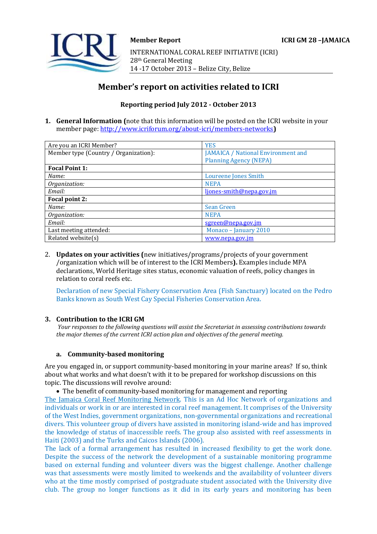INTERNATIONAL CORAL REEF INITIATIVE (ICRI) 28th General Meeting 14 -17 October 2013 – Belize City, Belize

# **Member's report on activities related to ICRI**

## **Reporting period July 2012 - October 2013**

**1. General Information (**note that this information will be posted on the ICRI website in your member page[: http://www.icriforum.org/about-icri/members-networks](http://www.icriforum.org/about-icri/members-networks)**)** 

| Are you an ICRI Member?               | <b>YES</b>                                |
|---------------------------------------|-------------------------------------------|
| Member type (Country / Organization): | <b>JAMAICA / National Environment and</b> |
|                                       | <b>Planning Agency (NEPA)</b>             |
| <b>Focal Point 1:</b>                 |                                           |
| Name:                                 | Loureene Jones Smith                      |
| Organization:                         | <b>NEPA</b>                               |
| Email:                                | ljones-smith@nepa.gov.jm                  |
| Focal point 2:                        |                                           |
| Name:                                 | <b>Sean Green</b>                         |
| Organization:                         | <b>NEPA</b>                               |
| Email:                                | sgreen@nepa.gov.jm                        |
| Last meeting attended:                | Monaco - January 2010                     |
| Related website(s)                    | www.nepa.gov.jm                           |

2. **Updates on your activities (**new initiatives/programs/projects of your government /organization which will be of interest to the ICRI Members**).** Examples include MPA declarations, World Heritage sites status, economic valuation of reefs, policy changes in relation to coral reefs etc.

Declaration of new Special Fishery Conservation Area (Fish Sanctuary) located on the Pedro Banks known as South West Cay Special Fisheries Conservation Area.

## **3. Contribution to the ICRI GM**

*Your responses to the following questions will assist the Secretariat in assessing contributions towards the major themes of the current ICRI action plan and objectives of the general meeting.*

#### **a. Community-based monitoring**

Are you engaged in, or support community-based monitoring in your marine areas? If so, think about what works and what doesn't with it to be prepared for workshop discussions on this topic. The discussions will revolve around:

The benefit of community-based monitoring for management and reporting

The Jamaica Coral Reef Monitoring Network. This is an Ad Hoc Network of organizations and individuals or work in or are interested in coral reef management. It comprises of the University of the West Indies, government organizations, non-governmental organizations and recreational divers. This volunteer group of divers have assisted in monitoring island-wide and has improved the knowledge of status of inaccessible reefs. The group also assisted with reef assessments in Haiti (2003) and the Turks and Caicos Islands (2006).

The lack of a formal arrangement has resulted in increased flexibility to get the work done. Despite the success of the network the development of a sustainable monitoring programme based on external funding and volunteer divers was the biggest challenge. Another challenge was that assessments were mostly limited to weekends and the availability of volunteer divers who at the time mostly comprised of postgraduate student associated with the University dive club. The group no longer functions as it did in its early years and monitoring has been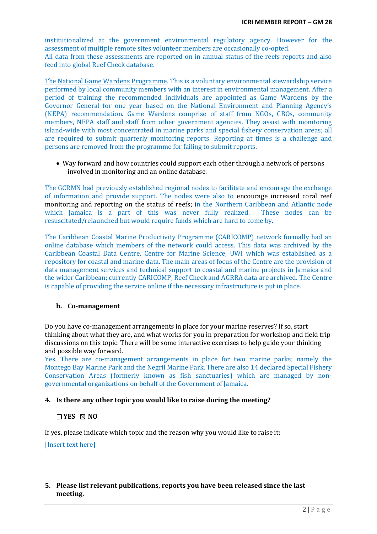institutionalized at the government environmental regulatory agency. However for the assessment of multiple remote sites volunteer members are occasionally co-opted. All data from these assessments are reported on in annual status of the reefs reports and also feed into global Reef Check database.

The National Game Wardens Programme. This is a voluntary environmental stewardship service performed by local community members with an interest in environmental management. After a period of training the recommended individuals are appointed as Game Wardens by the Governor General for one year based on the National Environment and Planning Agency's (NEPA) recommendation. Game Wardens comprise of staff from NGOs, CBOs, community members, NEPA staff and staff from other government agencies. They assist with monitoring island-wide with most concentrated in marine parks and special fishery conservation areas; all are required to submit quarterly monitoring reports. Reporting at times is a challenge and persons are removed from the programme for failing to submit reports.

 Way forward and how countries could support each other through a network of persons involved in monitoring and an online database.

The GCRMN had previously established regional nodes to facilitate and encourage the exchange of information and provide support. The nodes were also to encourage increased coral reef monitoring and reporting on the status of reefs; in the Northern Caribbean and Atlantic node which Jamaica is a part of this was never fully realized. These nodes can be resuscitated/relaunched but would require funds which are hard to come by.

The Caribbean Coastal Marine Productivity Programme (CARICOMP) network formally had an online database which members of the network could access. This data was archived by the Caribbean Coastal Data Centre, Centre for Marine Science, UWI which was established as a repository for coastal and marine data. The main areas of focus of the Centre are the provision of data management services and technical support to coastal and marine projects in Jamaica and the wider Caribbean; currently CARICOMP, Reef Check and AGRRA data are archived. The Centre is capable of providing the service online if the necessary infrastructure is put in place.

#### **b. Co-management**

Do you have co-management arrangements in place for your marine reserves? If so, start thinking about what they are, and what works for you in preparation for workshop and field trip discussions on this topic. There will be some interactive exercises to help guide your thinking and possible way forward.

Yes. There are co-management arrangements in place for two marine parks; namely the Montego Bay Marine Park and the Negril Marine Park. There are also 14 declared Special Fishery Conservation Areas (formerly known as fish sanctuaries) which are managed by nongovernmental organizations on behalf of the Government of Jamaica.

#### **4. Is there any other topic you would like to raise during the meeting?**

### **YES NO**

If yes, please indicate which topic and the reason why you would like to raise it:

[Insert text here]

## **5. Please list relevant publications, reports you have been released since the last meeting.**